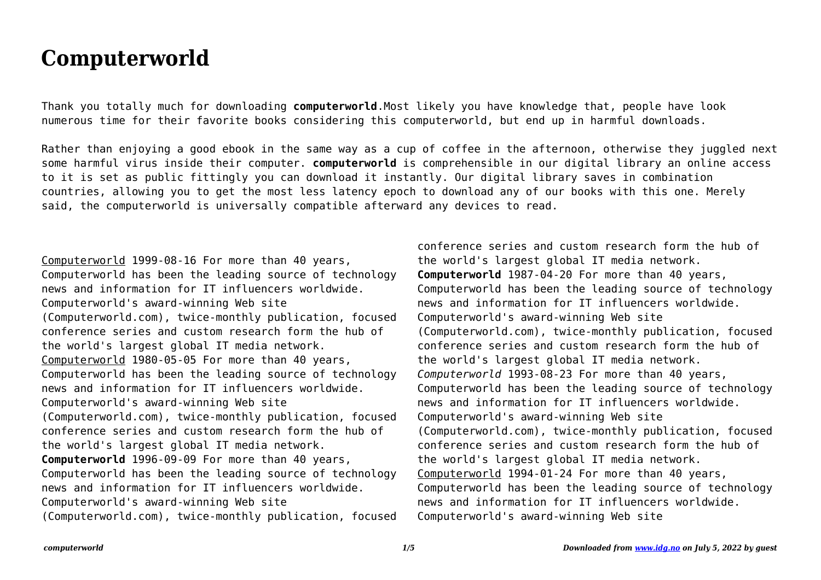## **Computerworld**

Thank you totally much for downloading **computerworld**.Most likely you have knowledge that, people have look numerous time for their favorite books considering this computerworld, but end up in harmful downloads.

Rather than enjoying a good ebook in the same way as a cup of coffee in the afternoon, otherwise they juggled next some harmful virus inside their computer. **computerworld** is comprehensible in our digital library an online access to it is set as public fittingly you can download it instantly. Our digital library saves in combination countries, allowing you to get the most less latency epoch to download any of our books with this one. Merely said, the computerworld is universally compatible afterward any devices to read.

Computerworld 1999-08-16 For more than 40 years, Computerworld has been the leading source of technology news and information for IT influencers worldwide. Computerworld's award-winning Web site (Computerworld.com), twice-monthly publication, focused conference series and custom research form the hub of the world's largest global IT media network. Computerworld 1980-05-05 For more than 40 years, Computerworld has been the leading source of technology news and information for IT influencers worldwide. Computerworld's award-winning Web site (Computerworld.com), twice-monthly publication, focused conference series and custom research form the hub of the world's largest global IT media network. **Computerworld** 1996-09-09 For more than 40 years, Computerworld has been the leading source of technology news and information for IT influencers worldwide. Computerworld's award-winning Web site (Computerworld.com), twice-monthly publication, focused

conference series and custom research form the hub of the world's largest global IT media network. **Computerworld** 1987-04-20 For more than 40 years, Computerworld has been the leading source of technology news and information for IT influencers worldwide. Computerworld's award-winning Web site (Computerworld.com), twice-monthly publication, focused conference series and custom research form the hub of the world's largest global IT media network. *Computerworld* 1993-08-23 For more than 40 years, Computerworld has been the leading source of technology news and information for IT influencers worldwide. Computerworld's award-winning Web site (Computerworld.com), twice-monthly publication, focused conference series and custom research form the hub of the world's largest global IT media network. Computerworld 1994-01-24 For more than 40 years, Computerworld has been the leading source of technology news and information for IT influencers worldwide. Computerworld's award-winning Web site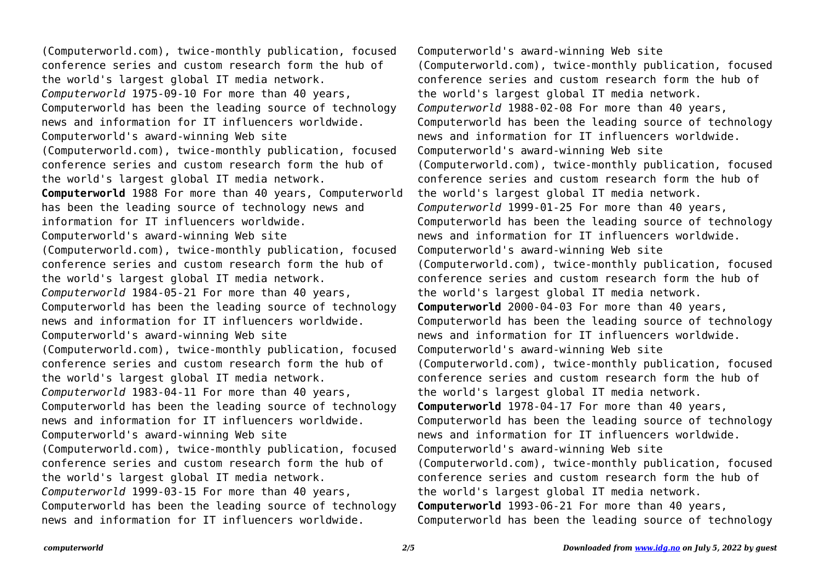(Computerworld.com), twice-monthly publication, focused conference series and custom research form the hub of the world's largest global IT media network. *Computerworld* 1975-09-10 For more than 40 years, Computerworld has been the leading source of technology news and information for IT influencers worldwide. Computerworld's award-winning Web site (Computerworld.com), twice-monthly publication, focused conference series and custom research form the hub of the world's largest global IT media network. **Computerworld** 1988 For more than 40 years, Computerworld has been the leading source of technology news and information for IT influencers worldwide. Computerworld's award-winning Web site (Computerworld.com), twice-monthly publication, focused conference series and custom research form the hub of the world's largest global IT media network. *Computerworld* 1984-05-21 For more than 40 years, Computerworld has been the leading source of technology news and information for IT influencers worldwide. Computerworld's award-winning Web site (Computerworld.com), twice-monthly publication, focused conference series and custom research form the hub of the world's largest global IT media network. *Computerworld* 1983-04-11 For more than 40 years, Computerworld has been the leading source of technology news and information for IT influencers worldwide. Computerworld's award-winning Web site (Computerworld.com), twice-monthly publication, focused conference series and custom research form the hub of the world's largest global IT media network. *Computerworld* 1999-03-15 For more than 40 years, Computerworld has been the leading source of technology news and information for IT influencers worldwide.

Computerworld's award-winning Web site (Computerworld.com), twice-monthly publication, focused conference series and custom research form the hub of the world's largest global IT media network. *Computerworld* 1988-02-08 For more than 40 years, Computerworld has been the leading source of technology news and information for IT influencers worldwide. Computerworld's award-winning Web site (Computerworld.com), twice-monthly publication, focused conference series and custom research form the hub of the world's largest global IT media network. *Computerworld* 1999-01-25 For more than 40 years, Computerworld has been the leading source of technology news and information for IT influencers worldwide. Computerworld's award-winning Web site (Computerworld.com), twice-monthly publication, focused conference series and custom research form the hub of the world's largest global IT media network. **Computerworld** 2000-04-03 For more than 40 years, Computerworld has been the leading source of technology news and information for IT influencers worldwide. Computerworld's award-winning Web site (Computerworld.com), twice-monthly publication, focused conference series and custom research form the hub of the world's largest global IT media network. **Computerworld** 1978-04-17 For more than 40 years, Computerworld has been the leading source of technology news and information for IT influencers worldwide. Computerworld's award-winning Web site (Computerworld.com), twice-monthly publication, focused conference series and custom research form the hub of the world's largest global IT media network. **Computerworld** 1993-06-21 For more than 40 years, Computerworld has been the leading source of technology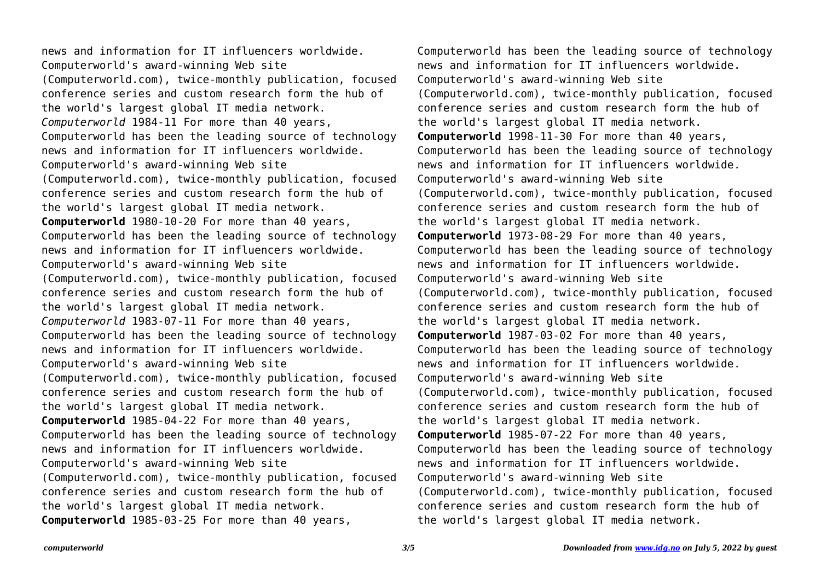news and information for IT influencers worldwide. Computerworld's award-winning Web site (Computerworld.com), twice-monthly publication, focused conference series and custom research form the hub of the world's largest global IT media network. *Computerworld* 1984-11 For more than 40 years, Computerworld has been the leading source of technology news and information for IT influencers worldwide. Computerworld's award-winning Web site (Computerworld.com), twice-monthly publication, focused conference series and custom research form the hub of the world's largest global IT media network. **Computerworld** 1980-10-20 For more than 40 years, Computerworld has been the leading source of technology news and information for IT influencers worldwide. Computerworld's award-winning Web site (Computerworld.com), twice-monthly publication, focused conference series and custom research form the hub of the world's largest global IT media network. *Computerworld* 1983-07-11 For more than 40 years, Computerworld has been the leading source of technology news and information for IT influencers worldwide. Computerworld's award-winning Web site (Computerworld.com), twice-monthly publication, focused conference series and custom research form the hub of the world's largest global IT media network. **Computerworld** 1985-04-22 For more than 40 years, Computerworld has been the leading source of technology news and information for IT influencers worldwide. Computerworld's award-winning Web site (Computerworld.com), twice-monthly publication, focused conference series and custom research form the hub of the world's largest global IT media network. **Computerworld** 1985-03-25 For more than 40 years,

Computerworld has been the leading source of technology news and information for IT influencers worldwide. Computerworld's award-winning Web site (Computerworld.com), twice-monthly publication, focused conference series and custom research form the hub of the world's largest global IT media network. **Computerworld** 1998-11-30 For more than 40 years, Computerworld has been the leading source of technology news and information for IT influencers worldwide. Computerworld's award-winning Web site (Computerworld.com), twice-monthly publication, focused conference series and custom research form the hub of the world's largest global IT media network. **Computerworld** 1973-08-29 For more than 40 years, Computerworld has been the leading source of technology news and information for IT influencers worldwide. Computerworld's award-winning Web site (Computerworld.com), twice-monthly publication, focused conference series and custom research form the hub of the world's largest global IT media network. **Computerworld** 1987-03-02 For more than 40 years, Computerworld has been the leading source of technology news and information for IT influencers worldwide. Computerworld's award-winning Web site (Computerworld.com), twice-monthly publication, focused conference series and custom research form the hub of the world's largest global IT media network. **Computerworld** 1985-07-22 For more than 40 years, Computerworld has been the leading source of technology news and information for IT influencers worldwide. Computerworld's award-winning Web site (Computerworld.com), twice-monthly publication, focused conference series and custom research form the hub of the world's largest global IT media network.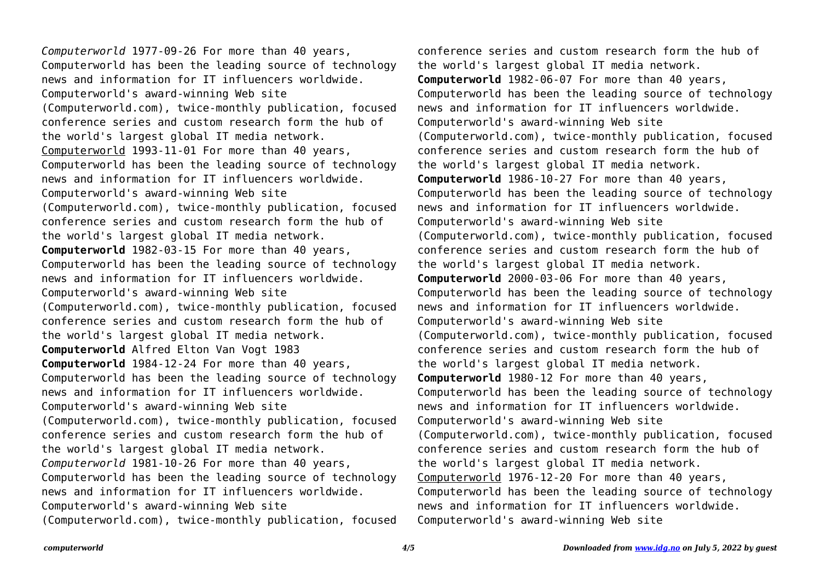*Computerworld* 1977-09-26 For more than 40 years, Computerworld has been the leading source of technology news and information for IT influencers worldwide. Computerworld's award-winning Web site (Computerworld.com), twice-monthly publication, focused conference series and custom research form the hub of the world's largest global IT media network. Computerworld 1993-11-01 For more than 40 years, Computerworld has been the leading source of technology news and information for IT influencers worldwide. Computerworld's award-winning Web site (Computerworld.com), twice-monthly publication, focused conference series and custom research form the hub of the world's largest global IT media network. **Computerworld** 1982-03-15 For more than 40 years, Computerworld has been the leading source of technology news and information for IT influencers worldwide. Computerworld's award-winning Web site (Computerworld.com), twice-monthly publication, focused conference series and custom research form the hub of the world's largest global IT media network. **Computerworld** Alfred Elton Van Vogt 1983 **Computerworld** 1984-12-24 For more than 40 years, Computerworld has been the leading source of technology news and information for IT influencers worldwide. Computerworld's award-winning Web site (Computerworld.com), twice-monthly publication, focused conference series and custom research form the hub of the world's largest global IT media network. *Computerworld* 1981-10-26 For more than 40 years, Computerworld has been the leading source of technology news and information for IT influencers worldwide. Computerworld's award-winning Web site (Computerworld.com), twice-monthly publication, focused

conference series and custom research form the hub of the world's largest global IT media network. **Computerworld** 1982-06-07 For more than 40 years, Computerworld has been the leading source of technology news and information for IT influencers worldwide. Computerworld's award-winning Web site (Computerworld.com), twice-monthly publication, focused conference series and custom research form the hub of the world's largest global IT media network. **Computerworld** 1986-10-27 For more than 40 years, Computerworld has been the leading source of technology news and information for IT influencers worldwide. Computerworld's award-winning Web site (Computerworld.com), twice-monthly publication, focused conference series and custom research form the hub of the world's largest global IT media network. **Computerworld** 2000-03-06 For more than 40 years, Computerworld has been the leading source of technology news and information for IT influencers worldwide. Computerworld's award-winning Web site (Computerworld.com), twice-monthly publication, focused conference series and custom research form the hub of the world's largest global IT media network. **Computerworld** 1980-12 For more than 40 years, Computerworld has been the leading source of technology news and information for IT influencers worldwide. Computerworld's award-winning Web site (Computerworld.com), twice-monthly publication, focused conference series and custom research form the hub of the world's largest global IT media network. Computerworld 1976-12-20 For more than 40 years, Computerworld has been the leading source of technology news and information for IT influencers worldwide. Computerworld's award-winning Web site